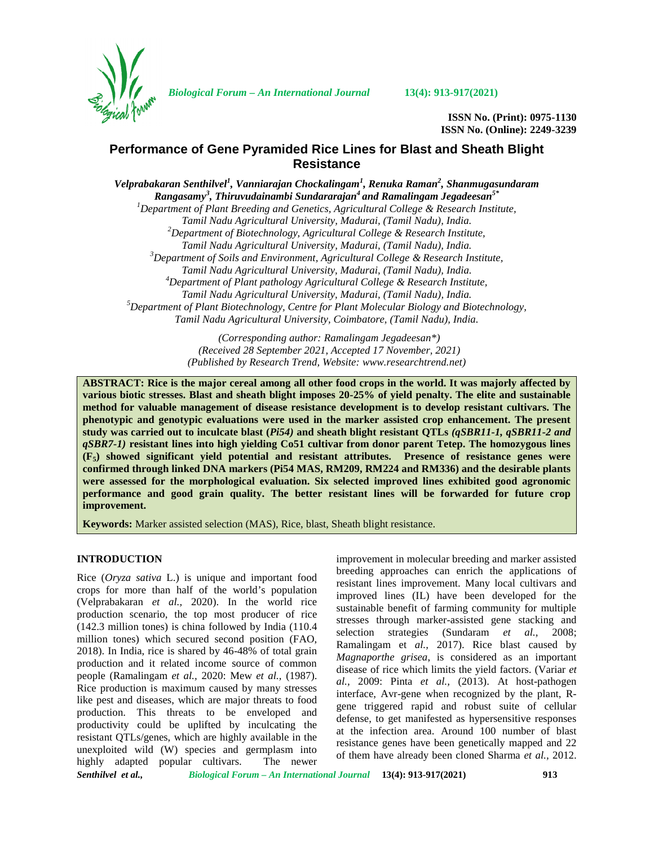

*Biological Forum – An International Journal* **13(4): 913-917(2021)**

**ISSN No. (Print): 0975-1130 ISSN No. (Online): 2249-3239**

# **Performance of Gene Pyramided Rice Lines for Blast and Sheath Blight Resistance**

*Velprabakaran Senthilvel<sup>1</sup> , Vanniarajan Chockalingam<sup>1</sup> , Renuka Raman<sup>2</sup> , Shanmugasundaram Rangasamy<sup>3</sup> , Thiruvudainambi Sundararajan<sup>4</sup> and Ramalingam Jegadeesan5\* <sup>1</sup>Department of Plant Breeding and Genetics, Agricultural College & Research Institute, Tamil Nadu Agricultural University, Madurai, (Tamil Nadu), India. <sup>2</sup>Department of Biotechnology, Agricultural College & Research Institute, Tamil Nadu Agricultural University, Madurai, (Tamil Nadu), India. <sup>3</sup>Department of Soils and Environment, Agricultural College & Research Institute, Tamil Nadu Agricultural University, Madurai, (Tamil Nadu), India. <sup>4</sup>Department of Plant pathology Agricultural College & Research Institute, Tamil Nadu Agricultural University, Madurai, (Tamil Nadu), India. <sup>5</sup>Department of Plant Biotechnology, Centre for Plant Molecular Biology and Biotechnology, Tamil Nadu Agricultural University, Coimbatore, (Tamil Nadu), India.*

> *(Corresponding author: Ramalingam Jegadeesan\*) (Received 28 September 2021, Accepted 17 November, 2021) (Published by Research Trend, Website: [www.researchtrend.net\)](www.researchtrend.net)*

**ABSTRACT: Rice is the major cereal among all other food crops in the world. It was majorly affected by various biotic stresses. Blast and sheath blight imposes 20-25% of yield penalty. The elite and sustainable method for valuable management of disease resistance development is to develop resistant cultivars. The phenotypic and genotypic evaluations were used in the marker assisted crop enhancement. The present study was carried out to inculcate blast (***Pi54)* **and sheath blight resistant QTLs** *(qSBR11-1, qSBR11-2 and qSBR7-1)* **resistant lines into high yielding Co51 cultivar from donor parent Tetep. The homozygous lines (F5) showed significant yield potential and resistant attributes. Presence of resistance genes were confirmed through linked DNA markers (Pi54 MAS, RM209, RM224 and RM336) and the desirable plants were assessed for the morphological evaluation. Six selected improved lines exhibited good agronomic performance and good grain quality. The better resistant lines will be forwarded for future crop improvement.**

**Keywords:** Marker assisted selection (MAS), Rice, blast, Sheath blight resistance.

## **INTRODUCTION**

Rice (*Oryza sativa* L.) is unique and important food crops for more than half of the world's population (Velprabakaran *et al.,* 2020). In the world rice production scenario, the top most producer of rice (142.3 million tones) is china followed by India (110.4 million tones) which secured second position (FAO, 2018). In India, rice is shared by 46-48% of total grain production and it related income source of common people (Ramalingam *et al.,* 2020: Mew *et al.,* (1987). Rice production is maximum caused by many stresses like pest and diseases, which are major threats to food production. This threats to be enveloped and productivity could be uplifted by inculcating the resistant QTLs/genes, which are highly available in the unexploited wild (W) species and germplasm into highly adapted popular cultivars. The newer

improvement in molecular breeding and marker assisted breeding approaches can enrich the applications of resistant lines improvement. Many local cultivars and improved lines (IL) have been developed for the sustainable benefit of farming community for multiple stresses through marker-assisted gene stacking and selection strategies (Sundaram *et al.,* 2008; Ramalingam et *al.,* 2017). Rice blast caused by *Magnaporthe grisea*, is considered as an important disease of rice which limits the yield factors. (Variar *et al.,* 2009: Pinta *et al.,* (2013). At host-pathogen interface, Avr-gene when recognized by the plant, R gene triggered rapid and robust suite of cellular defense, to get manifested as hypersensitive responses at the infection area. Around 100 number of blast resistance genes have been genetically mapped and 22 of them have already been cloned Sharma *et al.,* 2012.

*Senthilvel et al., Biological Forum – An International Journal* **13(4): 913-917(2021) 913**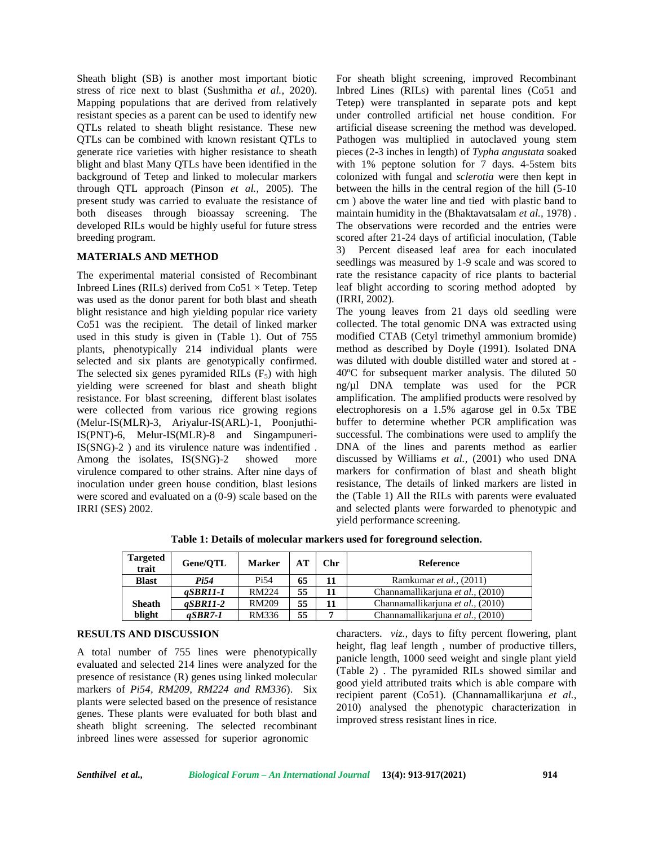Sheath blight (SB) is another most important biotic stress of rice next to blast (Sushmitha *et al.,* 2020). Mapping populations that are derived from relatively resistant species as a parent can be used to identify new QTLs related to sheath blight resistance. These new QTLs can be combined with known resistant QTLs to generate rice varieties with higher resistance to sheath blight and blast Many QTLs have been identified in the background of Tetep and linked to molecular markers through QTL approach (Pinson *et al.,* 2005). The present study was carried to evaluate the resistance of both diseases through bioassay screening. The developed RILs would be highly useful for future stress breeding program.

## **MATERIALS AND METHOD**

The experimental material consisted of Recombinant Inbreed Lines (RILs) derived from  $Co51 \times Tetep$ . Tetep. was used as the donor parent for both blast and sheath blight resistance and high yielding popular rice variety Co51 was the recipient. The detail of linked marker used in this study is given in (Table 1). Out of 755 plants, phenotypically 214 individual plants were selected and six plants are genotypically confirmed. The selected six genes pyramided RILs  $(F_5)$  with high yielding were screened for blast and sheath blight resistance. For blast screening, different blast isolates were collected from various rice growing regions (Melur-IS(MLR)-3, Ariyalur-IS(ARL)-1, Poonjuthi-IS(PNT)-6, Melur-IS(MLR)-8 and Singampuneri-IS(SNG)-2 ) and its virulence nature was indentified . Among the isolates, IS(SNG)-2 showed more virulence compared to other strains. After nine days of inoculation under green house condition, blast lesions were scored and evaluated on a (0-9) scale based on the IRRI (SES) 2002.

For sheath blight screening, improved Recombinant Inbred Lines (RILs) with parental lines (Co51 and Tetep) were transplanted in separate pots and kept under controlled artificial net house condition. For artificial disease screening the method was developed. Pathogen was multiplied in autoclaved young stem pieces (2-3 inches in length) of *Typha angustata* soaked with 1% peptone solution for 7 days. 4-5stem bits colonized with fungal and *sclerotia* were then kept in between the hills in the central region of the hill (5-10 cm ) above the water line and tied with plastic band to maintain humidity in the (Bhaktavatsalam *et al.,* 1978) . The observations were recorded and the entries were scored after 21-24 days of artificial inoculation, (Table 3) Percent diseased leaf area for each inoculated seedlings was measured by 1-9 scale and was scored to rate the resistance capacity of rice plants to bacterial leaf blight according to scoring method adopted by (IRRI, 2002).

The young leaves from 21 days old seedling were collected. The total genomic DNA was extracted using modified CTAB (Cetyl trimethyl ammonium bromide) method as described by Doyle (1991). Isolated DNA was diluted with double distilled water and stored at - 40ºC for subsequent marker analysis. The diluted 50 ng/µl DNA template was used for the PCR amplification. The amplified products were resolved by electrophoresis on a 1.5% agarose gel in 0.5x TBE buffer to determine whether PCR amplification was successful. The combinations were used to amplify the DNA of the lines and parents method as earlier discussed by Williams *et al.,* (2001) who used DNA markers for confirmation of blast and sheath blight resistance, The details of linked markers are listed in the (Table 1) All the RILs with parents were evaluated and selected plants were forwarded to phenotypic and yield performance screening.

| <b>Targeted</b><br>trait | Gene/OTL    | <b>Marker</b>     | AT | Chr | <b>Reference</b>                  |
|--------------------------|-------------|-------------------|----|-----|-----------------------------------|
| <b>Blast</b>             | Pi54        | P <sub>i</sub> 54 | 65 |     | Ramkumar et al., (2011)           |
|                          | $a$ SBR11-1 | <b>RM224</b>      | 55 |     | Channamallikarjuna et al., (2010) |
| <b>Sheath</b>            | $a$ SBR11-2 | <b>RM209</b>      | 55 |     | Channamallikarjuna et al., (2010) |
| blight                   | $aSBR7-1$   | RM336             | 55 |     | Channamallikarjuna et al., (2010) |

**Table 1: Details of molecular markers used for foreground selection.**

#### **RESULTS AND DISCUSSION**

A total number of 755 lines were phenotypically evaluated and selected 214 lines were analyzed for the presence of resistance (R) genes using linked molecular markers of *Pi54, RM209, RM224 and RM336*). Six plants were selected based on the presence of resistance genes. These plants were evaluated for both blast and sheath blight screening. The selected recombinant inbreed lines were assessed for superior agronomic

characters. *viz.,* days to fifty percent flowering, plant height, flag leaf length , number of productive tillers, panicle length, 1000 seed weight and single plant yield (Table 2) . The pyramided RILs showed similar and good yield attributed traits which is able compare with recipient parent (Co51). (Channamallikarjuna *et al.,* 2010) analysed the phenotypic characterization in improved stress resistant lines in rice.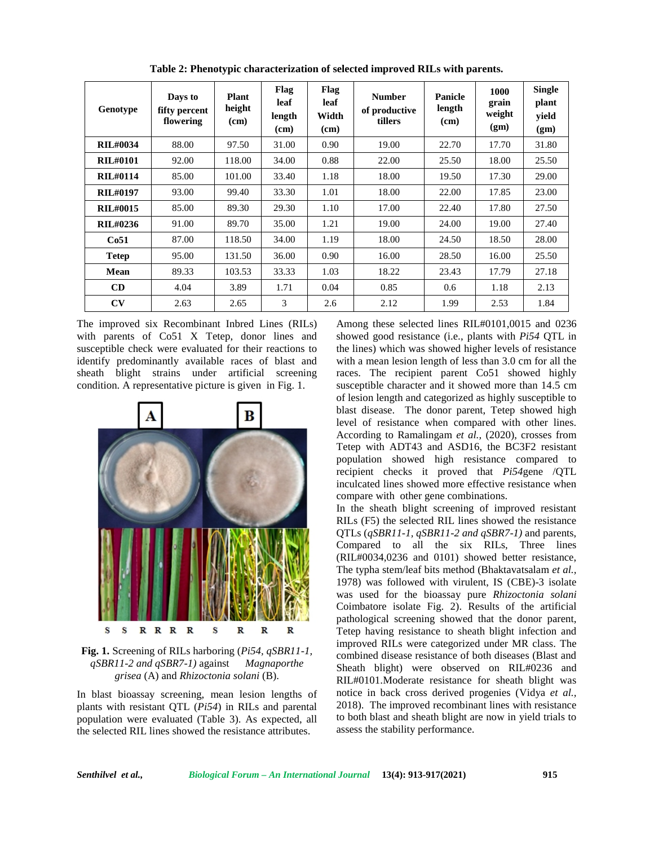| Genotype        | Days to<br>fifty percent<br>flowering | <b>Plant</b><br>height<br>(cm) | Flag<br>leaf<br>length<br>(cm) | Flag<br>leaf<br>Width<br>(cm) | <b>Number</b><br>of productive<br>tillers | Panicle<br>length<br>(cm) | 1000<br>grain<br>weight<br>(gm) | <b>Single</b><br>plant<br>yield<br>(gm) |
|-----------------|---------------------------------------|--------------------------------|--------------------------------|-------------------------------|-------------------------------------------|---------------------------|---------------------------------|-----------------------------------------|
| <b>RIL#0034</b> | 88.00                                 | 97.50                          | 31.00                          | 0.90                          | 19.00                                     | 22.70                     | 17.70                           | 31.80                                   |
| <b>RIL#0101</b> | 92.00                                 | 118.00                         | 34.00                          | 0.88                          | 22.00                                     | 25.50                     | 18.00                           | 25.50                                   |
| <b>RIL#0114</b> | 85.00                                 | 101.00                         | 33.40                          | 1.18                          | 18.00                                     | 19.50                     | 17.30                           | 29.00                                   |
| <b>RIL#0197</b> | 93.00                                 | 99.40                          | 33.30                          | 1.01                          | 18.00                                     | 22.00                     | 17.85                           | 23.00                                   |
| <b>RIL#0015</b> | 85.00                                 | 89.30                          | 29.30                          | 1.10                          | 17.00                                     | 22.40                     | 17.80                           | 27.50                                   |
| RIL#0236        | 91.00                                 | 89.70                          | 35.00                          | 1.21                          | 19.00                                     | 24.00                     | 19.00                           | 27.40                                   |
| Co51            | 87.00                                 | 118.50                         | 34.00                          | 1.19                          | 18.00                                     | 24.50                     | 18.50                           | 28.00                                   |
| <b>Tetep</b>    | 95.00                                 | 131.50                         | 36.00                          | 0.90                          | 16.00                                     | 28.50                     | 16.00                           | 25.50                                   |
| Mean            | 89.33                                 | 103.53                         | 33.33                          | 1.03                          | 18.22                                     | 23.43                     | 17.79                           | 27.18                                   |
| CD              | 4.04                                  | 3.89                           | 1.71                           | 0.04                          | 0.85                                      | 0.6                       | 1.18                            | 2.13                                    |
| CV              | 2.63                                  | 2.65                           | 3                              | 2.6                           | 2.12                                      | 1.99                      | 2.53                            | 1.84                                    |

**Table 2: Phenotypic characterization of selected improved RILs with parents.**

The improved six Recombinant Inbred Lines (RILs) with parents of Co51 X Tetep, donor lines and susceptible check were evaluated for their reactions to identify predominantly available races of blast and sheath blight strains under artificial screening condition. A representative picture is given in Fig.1.



**Fig. 1.** Screening of RILs harboring (*Pi54, qSBR11-1, qSBR11-2 and qSBR7-1)* against *Magnaporthe grisea* (A) and *Rhizoctonia solani* (B).

In blast bioassay screening, mean lesion lengths of plants with resistant QTL (*Pi54*) in RILs and parental population were evaluated (Table 3). As expected, all the selected RIL lines showed the resistance attributes.

Among these selected lines RIL#0101,0015 and 0236 showed good resistance (i.e., plants with *Pi54* QTL in the lines) which was showed higher levels of resistance with a mean lesion length of less than 3.0 cm for all the races. The recipient parent Co51 showed highly susceptible character and it showed more than 14.5 cm of lesion length and categorized as highly susceptible to blast disease. The donor parent, Tetep showed high level of resistance when compared with other lines. According to Ramalingam *et al.,* (2020), crosses from Tetep with ADT43 and ASD16, the BC3F2 resistant population showed high resistance compared to recipient checks it proved that *Pi54*gene /QTL inculcated lines showed more effective resistance when compare with other gene combinations.

In the sheath blight screening of improved resistant RILs (F5) the selected RIL lines showed the resistance QTLs (*qSBR11-1, qSBR11-2 and qSBR7-1)* and parents, Compared to all the six RILs, Three lines (RIL#0034,0236 and 0101) showed better resistance, The typha stem/leaf bits method (Bhaktavatsalam *et al.,* 1978) was followed with virulent, IS (CBE)-3 isolate was used for the bioassay pure *Rhizoctonia solani* Coimbatore isolate Fig. 2). Results of the artificial pathological screening showed that the donor parent, Tetep having resistance to sheath blight infection and improved RILs were categorized under MR class. The combined disease resistance of both diseases (Blast and Sheath blight) were observed on RIL#0236 and RIL#0101.Moderate resistance for sheath blight was notice in back cross derived progenies (Vidya *et al.,* 2018). The improved recombinant lines with resistance to both blast and sheath blight are now in yield trials to assess the stability performance.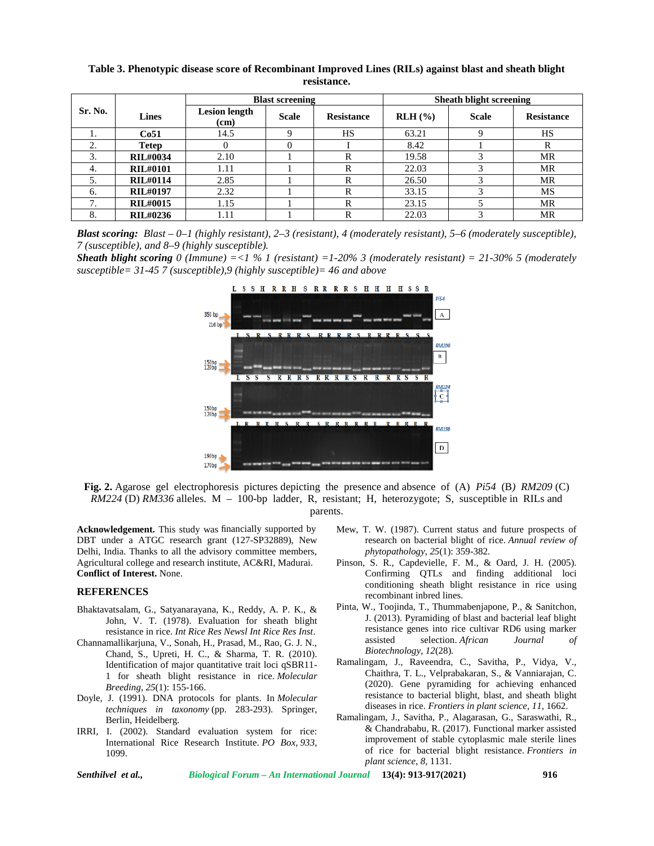|         |                 |                              | <b>Blast screening</b> |                   | <b>Sheath blight screening</b> |              |                   |  |
|---------|-----------------|------------------------------|------------------------|-------------------|--------------------------------|--------------|-------------------|--|
| Sr. No. | <b>Lines</b>    | <b>Lesion length</b><br>(cm) | <b>Scale</b>           | <b>Resistance</b> | $RLH$ (%)                      | <b>Scale</b> | <b>Resistance</b> |  |
| ı.      | Co51            | 14.5                         |                        | HS                | 63.21                          |              | HS                |  |
|         | <b>Tetep</b>    |                              |                        |                   | 8.42                           |              |                   |  |
| 3.      | <b>RIL#0034</b> | 2.10                         |                        | R                 | 19.58                          |              | MR                |  |
| 4.      | <b>RIL#0101</b> | 1.11                         |                        |                   | 22.03                          |              | MR                |  |
|         | <b>RIL#0114</b> | 2.85                         |                        | R                 | 26.50                          |              | MR                |  |
| 6.      | <b>RIL#0197</b> | 2.32                         |                        |                   | 33.15                          |              | <b>MS</b>         |  |
| 7       | <b>RIL#0015</b> | 1.15                         |                        | R                 | 23.15                          |              | MR                |  |
| 8.      | RIL#0236        | 1.11                         |                        |                   | 22.03                          |              | MR                |  |

**Table 3. Phenotypic disease score of Recombinant Improved Lines (RILs) against blast and sheath blight resistance.**

*Blast scoring: Blast – 0–1 (highly resistant), 2–3 (resistant), 4 (moderately resistant), 5–6 (moderately susceptible), 7 (susceptible), and 8–9 (highly susceptible).*

*Sheath blight scoring 0 (Immune) =<1 % 1 (resistant) =1-20% 3 (moderately resistant) = 21-30% 5 (moderately susceptible= 31-45 7 (susceptible),9 (highly susceptible)= 46 and above*



**Fig. 2.** Agarose gel electrophoresis pictures depicting the presence and absence of (A) *Pi54* (B*) RM209* (C) *RM224* (D) *RM336* alleles. M – 100-bp ladder, R, resistant; H, heterozygote; S, susceptible in RILs and parents.

**Acknowledgement.** This study was financially supported by DBT under a ATGC research grant (127-SP32889), New Delhi, India. Thanks to all the advisory committee members, Agricultural college and research institute, AC&RI, Madurai. **Conflict of Interest.** None.

#### **REFERENCES**

- Bhaktavatsalam, G., Satyanarayana, K., Reddy, A. P. K., & John, V. T. (1978). Evaluation for sheath blight resistance in rice. *Int Rice Res Newsl Int Rice Res Inst*.
- Channamallikarjuna, V., Sonah, H., Prasad, M., Rao, G. J. N., Chand, S., Upreti, H. C., & Sharma, T. R. (2010). Identification of major quantitative trait loci qSBR11- 1 for sheath blight resistance in rice. *Molecular Breeding*, *25*(1): 155-166.
- Doyle, J. (1991). DNA protocols for plants. In *Molecular techniques in taxonomy* (pp. 283-293). Springer, Berlin, Heidelberg.
- IRRI, I. (2002). Standard evaluation system for rice: International Rice Research Institute. *PO Box*, *933*, 1099.
- Mew, T. W. (1987). Current status and future prospects of research on bacterial blight of rice. *Annual review of phytopathology*, *25*(1): 359-382.
- Pinson, S. R., Capdevielle, F. M., & Oard, J. H. (2005). Confirming QTLs and finding additional loci conditioning sheath blight resistance in rice using recombinant inbred lines.
- Pinta, W., Toojinda, T., Thummabenjapone, P., & Sanitchon, J. (2013). Pyramiding of blast and bacterial leaf blight resistance genes into rice cultivar RD6 using marker assisted selection. *African Journal of Biotechnology*, *12*(28).
- Ramalingam, J., Raveendra, C., Savitha, P., Vidya, V., Chaithra, T. L., Velprabakaran, S., & Vanniarajan, C. (2020). Gene pyramiding for achieving enhanced resistance to bacterial blight, blast, and sheath blight diseases in rice. *Frontiers in plant science*, *11*, 1662.
- Ramalingam, J., Savitha, P., Alagarasan, G., Saraswathi, R., & Chandrababu, R. (2017). Functional marker assisted improvement of stable cytoplasmic male sterile lines of rice for bacterial blight resistance. *Frontiers in plant science*, *8*, 1131.

*Senthilvel et al., Biological Forum – An International Journal* **13(4): 913-917(2021) 916**